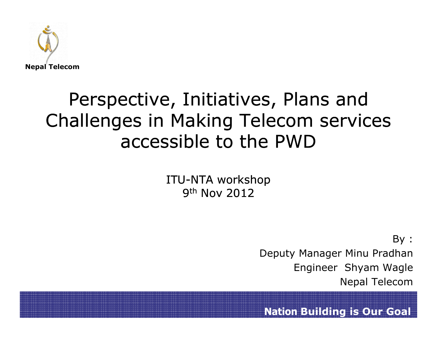

#### Perspective, Initiatives, Plans and Challenges in Making Telecom services accessible to the PWD

ITU-NTA workshop 9<sup>th</sup> Nov 2012

> By :Deputy Manager Minu Pradhan Engineer Shyam WagleNepal Telecom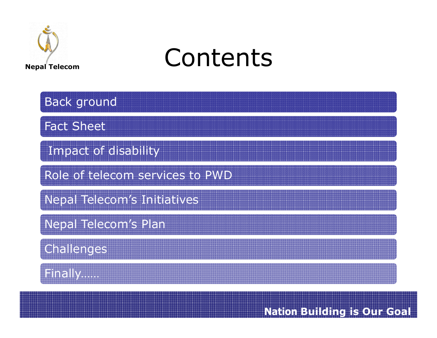

# Contents

| <b>Back ground</b>                 |
|------------------------------------|
| <b>Fact Sheet</b>                  |
| Impact of disability               |
| Role of telecom services to PWD    |
| <b>Nepal Telecom's Initiatives</b> |
| Nepal Telecom's Plan               |
| Challenges                         |
| Finally                            |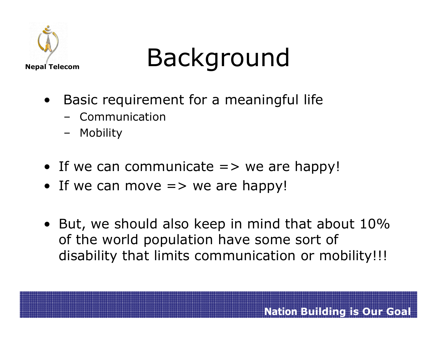

# Background

- • Basic requirement for a meaningful life
	- Communication
	- –Mobility
- If we can communicate  $\Rightarrow$  we are happy!
- If we can move  $=>$  we are happy!
- But, we should also keep in mind that about 10%<br>The world nonulation have some sort of of the world population have some sort of disability that limits communication or mobility!!!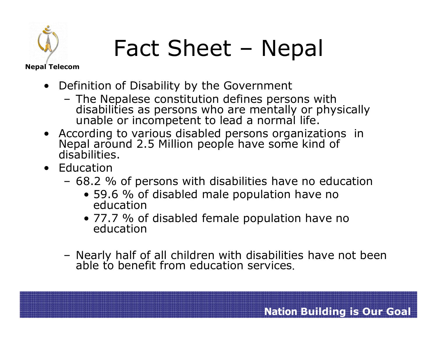

# Fact Sheet – Nepal

Nepal Telecom

- Definition of Disability by the Government
	- –The Nepalese constitution defines persons with disabilities as persons who are mentally or physically unable or incompetent to lead a normal life.
- According to various disabled persons organizat Nepal around 2.5 Million people have some kind of disabilities.
- Education
	- –68.2 % of persons with disabilities have no education<br>6 59.6 % of disabled male population have no
		- 59.6 % of disabled male population have no education
		- 77.7 % of disabled female population have no education
	- –Nearly half of all children with disabilities have not been able to benefit from education services.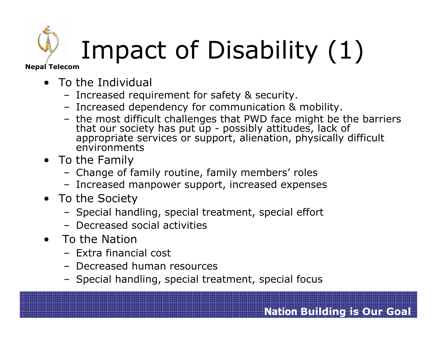# Impact of Disability (1)

Nepal Telecom

- **•** To the Individual<br>Forreased requ
	- Increased requirement for safety & security.
	- Increased dependency for communication & mobility.
	- the most difficult challenges that PWD face might be the barriers that our society has put up possibly attitudes, lack of that our society has put up - possibly attitudes, lack of appropriate services or support, alienation, physically difficult environments
- To the Family –
	- Change of family routine, family members' roles
	- Increased manpower support, increased expenses<br>so the Sesiety
- To the Society
	- Special handling, special treatment, special effort<br>– Desreased social activities
	- Decreased social activities
- • To the Nation
	- Extra financial cost
	- Decreased human resources
	- Special handling, special treatment, special focus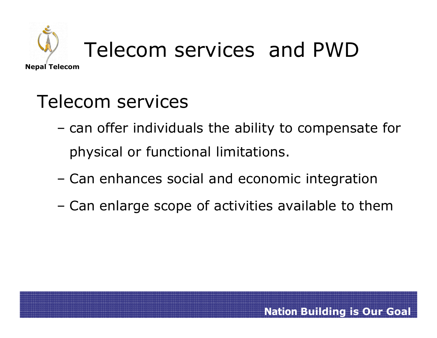

# Telecom services and PWD

#### Telecom services

- **Little State**  can offer individuals the ability to compensate for physical or functional limitations.
- **Little State** Can enhances social and economic integration
- –Can enlarge scope of activities available to them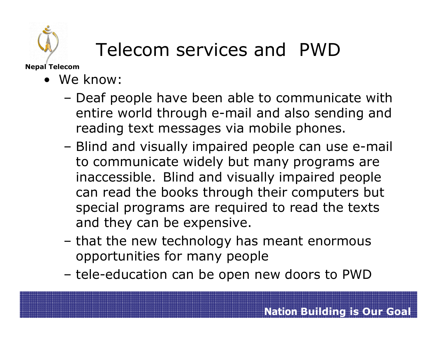

### Telecom services and PWD

Nepal Telecom

- We know:
	- –Deaf people have been able to communicate with<br>entire world through e-mail and also sending and entire world through e-mail and also sending and reading text messages via mobile phones.
	- –Blind and visually impaired people can use e-mail<br>to communicate widely but many programs are to communicate widely but many programs are inaccessible. Blind and visually impaired people can read the books through their computers but special programs are required to read the texts and they can be expensive.
	- –that the new technology has meant enormous<br>
	connortunities for many neonle opportunities for many people
	- –tele-education can be open new doors to PWD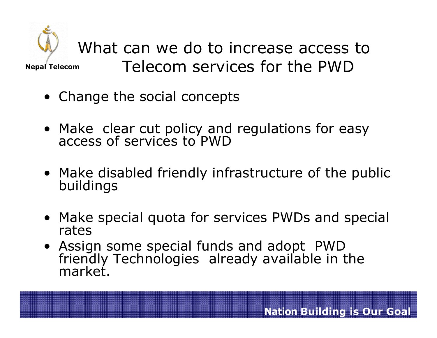

What can we do to increase access to Telecom services for the PWD

- Change the social concepts
- Make clear cut policy and regulations for easy access of services to PWD
- Make disabled friendly infrastructure of the public buildings
- Make special quota for services PWDs and special rates
- Assi friendly Technologies already available in the market.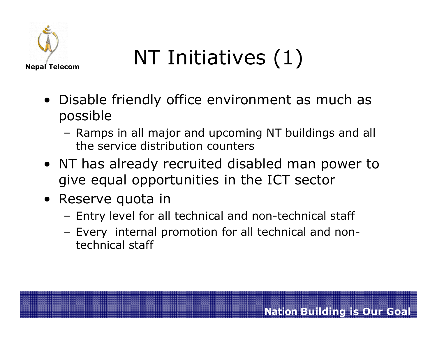

# NT Initiatives (1)

- Disable friendly office environment as much as possible
	- –Ramps in all major and upcoming NT buildings and all<br>the service distribution counters the service distribution counters
- NT has already recruited disabled man power to give equal opportunities in the ICT sector
- Reserve quota in
	- –Entry level for all technical and non-technical staff
	- – Every internal promotion for all technical and nontechnical staff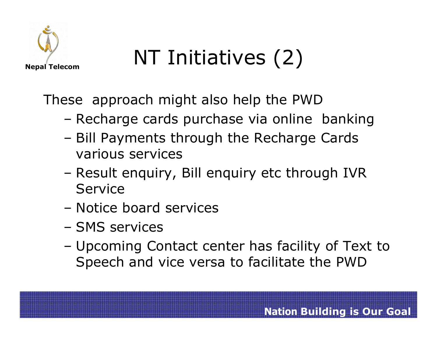

# NT Initiatives (2)

These approach might also help the PWD

- Pacharga carde nurchaea via onlina Recharge cards purchase via online banking<br>Rill Davmants through the Besharge Cards
- –Bill Payments through the Recharge Cards<br>Various services various services
- –- Result enquiry, Bill enquiry etc through IVR Service
- –Notice board services
- –SMS services
- – Upcoming Contact center has facility of Text to Speech and vice versa to facilitate the PWD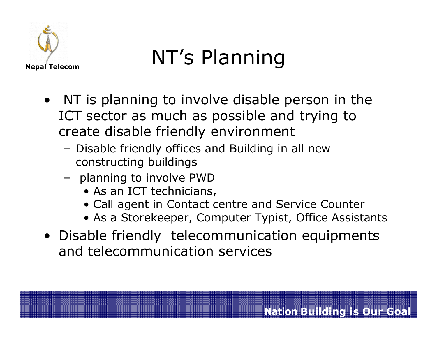

# NT's Planning

- NT is planning to involve disable person in the<br>ICT sector as much as nossible and trying to ICT sector as much as possible and trying to create disable friendly environment
	- – Disable friendly offices and Building in all new constructing buildings
	- –planning to involve PWD<br>As an ICT technicians
		- As an ICT technicians,<br>• Call agent in Contact cr
		- Call agent in Contact centre and Service Counter
		- As a Storekeeper, Computer Typist, Office Assistants
- Disable friendly telecommunication equipments<br>and telecommunication services and telecommunication services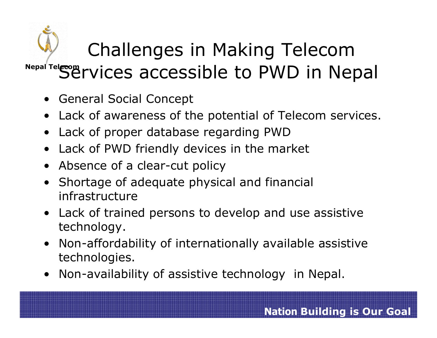#### Nepal Tel*e*com Challenges in Making Telecom Services accessible to PWD in Nepal

- $\bullet$ General Social Concept
- Lack of awareness of the potential of Telecom services.<br>• Lack of nyoner database reserving PWD
- •Lack of proper database regarding PWD
- •Lack of PWD friendly devices in the market
- Absence of a clear-cut policy
- Shortage of adequate physical and financial<br>infrastructure •infrastructure
- Lack of trained persons to develop and use assistive technology.
- Non-affordability of internationally available assistive technologies.
- Non-availability of assistive technology in Nepal.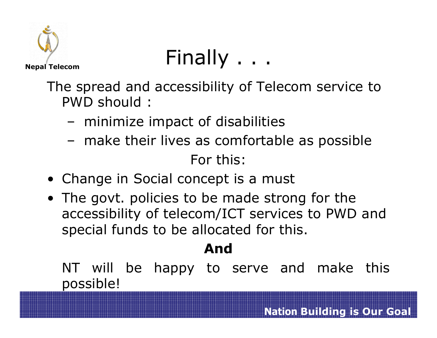

# Finally . . .

The spread and accessibility of Telecom service to PWD should :

- **Links of the Company** minimize impact of disabilities
- –make their lives as comfortable as possible<br>Fanthique

For this:

- Change in Social concept is a must<br>• The sout religies to be made strax
- The govt. policies to be made strong for the<br>accessibility of telecom/ICT services to PWD accessibility of telecom/ICT services to PWD and special funds to be allocated for this.

#### And

NT will be happy to serve and make this<br>possible! possible!